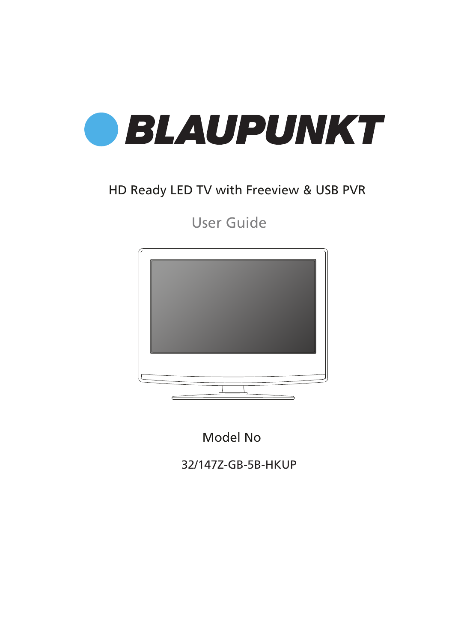

## HD Ready LED TV with Freeview & USB PVR

User Guide



Model No

32/147Z-GB-5B-HKUP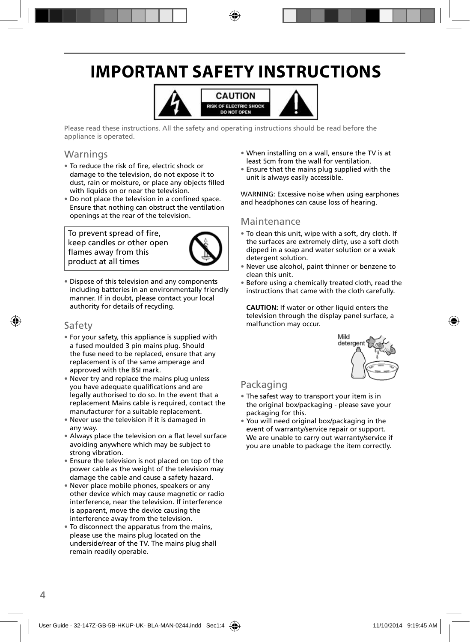# **IMPORTANT SAFETY INSTRUCTIONS**



Please read these instructions. All the safety and operating instructions should be read before the appliance is operated.

#### Warnings

- To reduce the risk of fire, electric shock or damage to the television, do not expose it to dust, rain or moisture, or place any objects filled with liquids on or near the television.
- Do not place the television in a confined space. Ensure that nothing can obstruct the ventilation openings at the rear of the television.

To prevent spread of fire, keep candles or other open flames away from this product at all times



• Dispose of this television and any components including batteries in an environmentally friendly manner. If in doubt, please contact your local authority for details of recycling.

#### Safety

- For your safety, this appliance is supplied with a fused moulded 3 pin mains plug. Should the fuse need to be replaced, ensure that any replacement is of the same amperage and approved with the BSI mark.
- Never try and replace the mains plug unless you have adequate qualifications and are legally authorised to do so. In the event that a replacement Mains cable is required, contact the manufacturer for a suitable replacement.
- Never use the television if it is damaged in any way.
- Always place the television on a flat level surface avoiding anywhere which may be subject to strong vibration.
- Ensure the television is not placed on top of the power cable as the weight of the television may damage the cable and cause a safety hazard.
- Never place mobile phones, speakers or any other device which may cause magnetic or radio interference, near the television. If interference is apparent, move the device causing the interference away from the television.
- To disconnect the apparatus from the mains, please use the mains plug located on the underside/rear of the TV. The mains plug shall remain readily operable.
- When installing on a wall, ensure the TV is at least 5cm from the wall for ventilation.
- Ensure that the mains plug supplied with the unit is always easily accessible.

WARNING: Excessive noise when using earphones and headphones can cause loss of hearing.

#### Maintenance

- To clean this unit, wipe with a soft, dry cloth. If the surfaces are extremely dirty, use a soft cloth dipped in a soap and water solution or a weak detergent solution.
- Never use alcohol, paint thinner or benzene to clean this unit.
- Before using a chemically treated cloth, read the instructions that came with the cloth carefully.

**CAUTION:** If water or other liquid enters the television through the display panel surface, a malfunction may occur.



#### Packaging

- The safest way to transport your item is in the original box/packaging - please save your packaging for this.
- You will need original box/packaging in the event of warranty/service repair or support. We are unable to carry out warranty/service if you are unable to package the item correctly.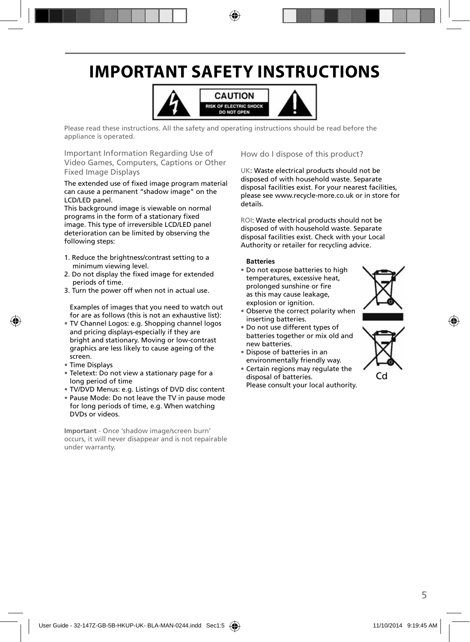# **IMPORTANT SAFETY INSTRUCTIONS**



Please read these instructions. All the safety and operating instructions should be read before the appliance is operated.

Important Information Regarding Use of Video Games, Computers, Captions or Other Fixed Image Displays

The extended use of fixed image program material can cause a permanent "shadow image" on the LCD/LED panel.

This background image is viewable on normal programs in the form of a stationary fixed image. This type of irreversible LCD/LED panel deterioration can be limited by observing the following steps:

- 1. Reduce the brightness/contrast setting to a minimum viewing level.
- 2. Do not display the fixed image for extended periods of time.
- 3. Turn the power off when not in actual use.

Examples of images that you need to watch out for are as follows (this is not an exhaustive list):

- TV Channel Logos: e.g. Shopping channel logos and pricing displays-especially if they are bright and stationary. Moving or low-contrast graphics are less likely to cause ageing of the screen.
- Time Displays
- Teletext: Do not view a stationary page for a long period of time
- TV/DVD Menus: e.g. Listings of DVD disc content
- Pause Mode: Do not leave the TV in pause mode for long periods of time, e.g. When watching DVDs or videos.

**Important** - Once 'shadow image/screen burn' occurs, it will never disappear and is not repairable under warranty.

How do I dispose of this product?

UK: Waste electrical products should not be disposed of with household waste. Separate disposal facilities exist. For your nearest facilities, please see www.recycle-more.co.uk or in store for details.

ROI: Waste electrical products should not be disposed of with household waste. Separate disposal facilities exist. Check with your Local Authority or retailer for recycling advice.

#### **Batteries**

- Do not expose batteries to high temperatures, excessive heat, prolonged sunshine or fire as this may cause leakage, explosion or ignition.
- Observe the correct polarity when inserting batteries.
- Do not use different types of batteries together or mix old and new batteries.
- Dispose of batteries in an environmentally friendly way.
- Certain regions may regulate the disposal of batteries. Please consult your local authority.



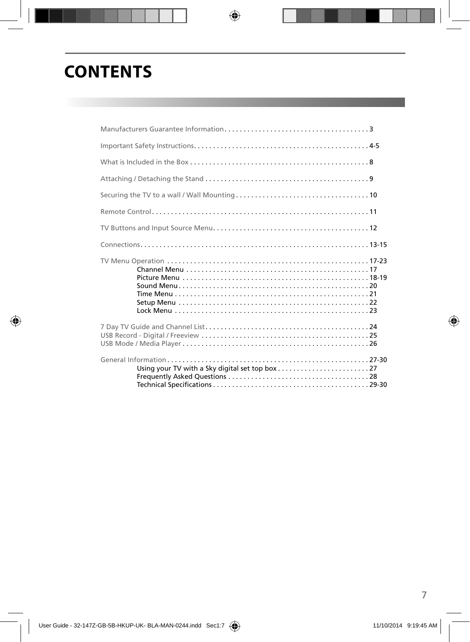# **CONTENTS**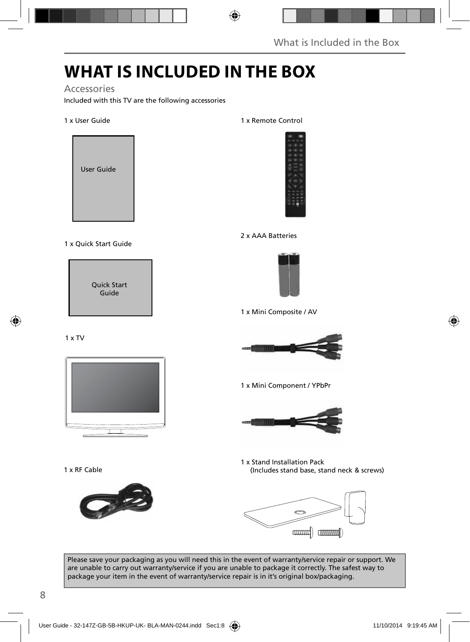# **WHAT IS INCLUDED IN THE BOX**

#### Accessories

Included with this TV are the following accessories

#### 1 x User Guide



#### 1 x Quick Start Guide

Quick Start Guide

#### 1 x TV



1 x RF Cable



1 x Remote Control



#### 2 x AAA Batteries



1 x Mini Composite / AV



1 x Mini Component / YPbPr



1 x Stand Installation Pack (Includes stand base, stand neck & screws)



Please save your packaging as you will need this in the event of warranty/service repair or support. We are unable to carry out warranty/service if you are unable to package it correctly. The safest way to package your item in the event of warranty/service repair is in it's original box/packaging.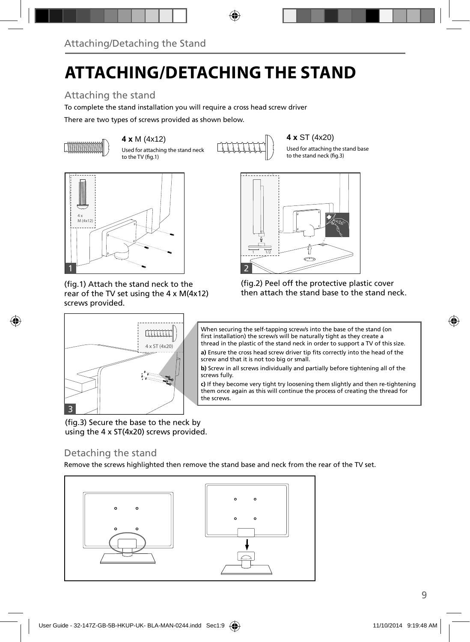# **ATTACHING/DETACHING THE STAND**

## Attaching the stand

To complete the stand installation you will require a cross head screw driver

There are two types of screws provided as shown below.



Used for attaching the stand neck to the TV (fig.1)



Used for attaching the stand base to the stand neck (fig.3)



(fig.1) Attach the stand neck to the rear of the TV set using the 4 x M(4x12) screws provided.

4 x ST (4x20)

mm



(fig.2) Peel off the protective plastic cover then attach the stand base to the stand neck.



a) Ensure the cross head screw driver tip fits correctly into the head of the screw and that it is not too big or small.

**b)** Screw in all screws individually and partially before tightening all of the screws fully.

**c)** If they become very tight try loosening them slightly and then re-tightening them once again as this will continue the process of creating the thread for the screws.

(fig.3) Secure the base to the neck by using the 4 x ST(4x20) screws provided.

### Detaching the stand

3

Remove the screws highlighted then remove the stand base and neck from the rear of the TV set.

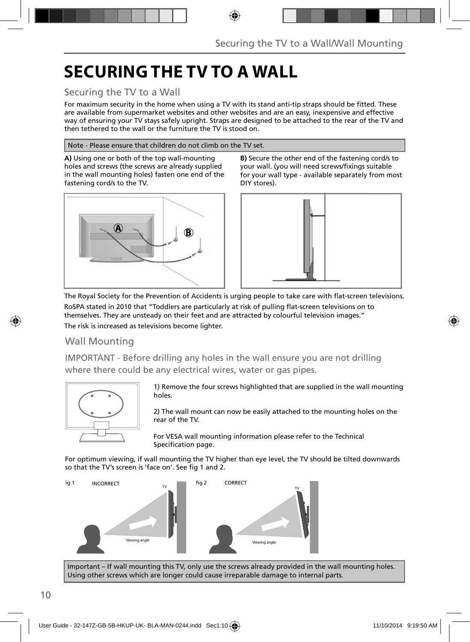# **SECURING THE TV TO A WALL**

### Securing the TV to a Wall

For maximum security in the home when using a TV with its stand anti-tip straps should be fitted. These are available from supermarket websites and other websites and are an easy, inexpensive and effective way of ensuring your TV stays safely upright. Straps are designed to be attached to the rear of the TV and then tethered to the wall or the furniture the TV is stood on.

#### Note - Please ensure that children do not climb on the TV set.

**A)** Using one or both of the top wall-mounting holes and screws (the screws are already supplied in the wall mounting holes) fasten one end of the fastening cord/s to the TV.



**B)** Secure the other end of the fastening cord/s to your wall. (you will need screws/fi xings suitable for your wall type - available separately from most DIY stores).



The Royal Society for the Prevention of Accidents is urging people to take care with flat-screen televisions. RoSPA stated in 2010 that "Toddlers are particularly at risk of pulling flat-screen televisions on to themselves. They are unsteady on their feet and are attracted by colourful television images."

The risk is increased as televisions become lighter.

#### Wall Mounting

IMPORTANT - Before drilling any holes in the wall ensure you are not drilling where there could be any electrical wires, water or gas pipes.



1) Remove the four screws highlighted that are supplied in the wall mounting holes.

2) The wall mount can now be easily attached to the mounting holes on the rear of the TV.

For VESA wall mounting information please refer to the Technical Specification page.

For optimum viewing, if wall mounting the TV higher than eye level, the TV should be tilted downwards so that the TV's screen is 'face on'. See fig 1 and 2.



Important – If wall mounting this TV, only use the screws already provided in the wall mounting holes. Using other screws which are longer could cause irreparable damage to internal parts.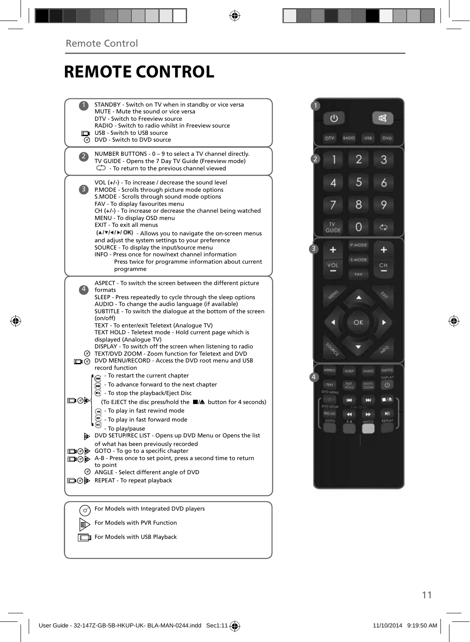## **REMOTE CONTROL**

|                    | STANDBY - Switch on TV when in standby or vice versa<br>MUTE - Mute the sound or vice versa<br>DTV - Switch to Freeview source<br>RADIO - Switch to radio whilst in Freeview source<br>USB - Switch to USB source<br>O DVD - Switch to DVD source                                                                                                                                                                                                                                                                                                                                                         |  |
|--------------------|-----------------------------------------------------------------------------------------------------------------------------------------------------------------------------------------------------------------------------------------------------------------------------------------------------------------------------------------------------------------------------------------------------------------------------------------------------------------------------------------------------------------------------------------------------------------------------------------------------------|--|
| 2                  | NUMBER BUTTONS - 0 - 9 to select a TV channel directly.<br>TV GUIDE - Opens the 7 Day TV Guide (Freeview mode)<br>$\mathbb{C}$ - To return to the previous channel viewed                                                                                                                                                                                                                                                                                                                                                                                                                                 |  |
| 3)                 | VOL (+/-) - To increase / decrease the sound level<br>P.MODE - Scrolls through picture mode options<br>S.MODE - Scrolls through sound mode options<br>FAV - To display favourites menu<br>CH (+/-) - To increase or decrease the channel being watched<br>MENU - To display OSD menu<br>EXIT - To exit all menus<br>(A/V/4/M/OK) - Allows you to navigate the on-screen menus<br>and adjust the system settings to your preference<br>SOURCE - To display the input/source menu<br>INFO - Press once for now/next channel information<br>Press twice for programme information about current<br>programme |  |
| $\left( 4 \right)$ | ASPECT - To switch the screen between the different picture<br>formats<br>SLEEP - Press repeatedly to cycle through the sleep options<br>AUDIO - To change the audio language (if available)<br>SUBTITLE - To switch the dialogue at the bottom of the screen<br>(on/off)<br>TEXT - To enter/exit Teletext (Analogue TV)<br>TEXT HOLD - Teletext mode - Hold current page which is<br>displayed (Analogue TV)<br>DISPLAY - To switch off the screen when listening to radio                                                                                                                               |  |
|                    | TEXT/DVD ZOOM - Zoom function for Teletext and DVD<br>DO DVD MENU/RECORD - Access the DVD root menu and USB<br>record function                                                                                                                                                                                                                                                                                                                                                                                                                                                                            |  |
| య⊚⊡                | - To restart the current chapter<br>To advance forward to the next chapter<br><b>B</b> - To stop the playback/Eject Disc<br>(To EJECT the disc press/hold the ■/▲ button for 4 seconds)<br>$\left( \widehat{m} \right)$ - To play in fast rewind mode<br>- To play in fast forward mode                                                                                                                                                                                                                                                                                                                   |  |
|                    | - To play/pause<br>DVD SETUP/REC LIST - Opens up DVD Menu or Opens the list<br>of what has been previously recorded<br>□ ⊙ > GOTO - To go to a specific chapter<br>A-B - Press once to set point, press a second time to return<br>to point<br>◎ ANGLE - Select different angle of DVD                                                                                                                                                                                                                                                                                                                    |  |
|                    | □→ REPEAT - To repeat playback                                                                                                                                                                                                                                                                                                                                                                                                                                                                                                                                                                            |  |
| ♂                  | For Models with Integrated DVD players                                                                                                                                                                                                                                                                                                                                                                                                                                                                                                                                                                    |  |
|                    | For Models with PVR Function<br><b>T</b> For Models with USB Playback                                                                                                                                                                                                                                                                                                                                                                                                                                                                                                                                     |  |
|                    |                                                                                                                                                                                                                                                                                                                                                                                                                                                                                                                                                                                                           |  |

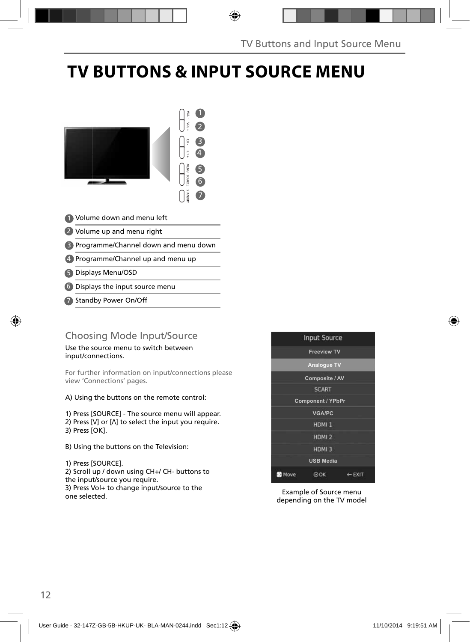# **TV BUTTONS & INPUT SOURCE MENU**



- Volume down and menu left 1
- 2 Volume up and menu right
- Programme/Channel down and menu down 3
- 4 Programme/Channel up and menu up
- Displays Menu/OSD 5
- Displays the input source menu 6
- Standby Power On/Off 7

### Choosing Mode Input/Source

Use the source menu to switch between input/connections.

For further information on input/connections please view 'Connections' pages.

A) Using the buttons on the remote control:

1) Press [SOURCE] - The source menu will appear. 2) Press  $[V]$  or  $[\Lambda]$  to select the input you require. 3) Press [OK].

B) Using the buttons on the Television:

1) Press [SOURCE]. 2) Scroll up / down using CH+/ CH- buttons to the input/source you require. 3) Press Vol+ to change input/source to the one selected.

|                | <b>Input Source</b>      |                   |
|----------------|--------------------------|-------------------|
|                | <b>Freeview TV</b>       |                   |
|                | <b>Analogue TV</b>       |                   |
|                | Composite / AV           |                   |
|                | <b>SCART</b>             |                   |
|                | <b>Component / YPbPr</b> |                   |
|                | <b>VGA/PC</b>            |                   |
|                | HDMI <sub>1</sub>        |                   |
|                | HDMI <sub>2</sub>        |                   |
|                | HDMI <sub>3</sub>        |                   |
|                | <b>USB Media</b>         |                   |
| <b>BC</b> Move | ∋ок                      | $\leftarrow$ EXIT |

Example of Source menu depending on the TV model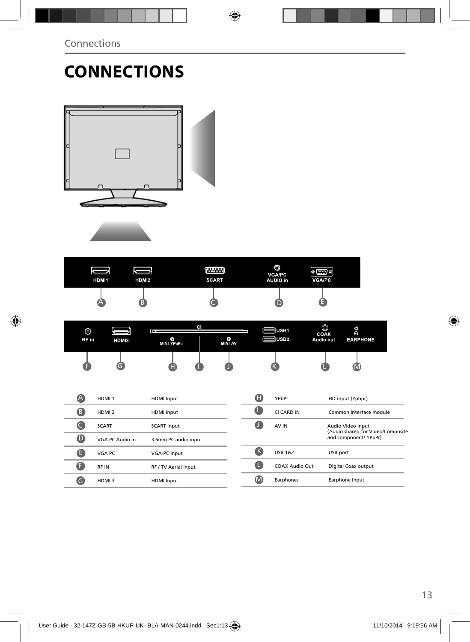# **CONNECTIONS**





| HDMI1 | HDMI2 | <b>WWW.</b><br><b>SCART</b> | O<br><b>VGA/PC</b><br><b>AUDIO</b> in | $\mathbb{C}$ of<br>ø<br><b>VGA/PC</b> |
|-------|-------|-----------------------------|---------------------------------------|---------------------------------------|
| ,     |       |                             |                                       |                                       |

| ⊚     |       | в.              | CI |         | d USB1  | $\circledcirc$    | O                           |
|-------|-------|-----------------|----|---------|---------|-------------------|-----------------------------|
| RF in | HDMI3 | O<br>MINI YPBPR |    | MINI AV | ll USB2 | COAX<br>Audio out | $\Omega$<br><b>EARPHONE</b> |
|       |       | Œ               |    |         |         |                   | , IVI                       |

| Ά                | HDMI <sub>1</sub> | <b>HDMI</b> Input    |   | O            | YPbPr                 | HD input (Ypbpr)                                       |
|------------------|-------------------|----------------------|---|--------------|-----------------------|--------------------------------------------------------|
| ß                | HDMI <sub>2</sub> | <b>HDMI</b> Input    |   |              | CI CARD IN            | Common Interface module                                |
|                  | <b>SCART</b>      | <b>SCART Input</b>   |   |              | AV IN                 | Audio Video Input<br>(Audio shared for Video/Composite |
| $\mathbf \Theta$ | VGA PC Audio In   | 3.5mm PC audio input |   |              |                       | and component/ YPbPr)                                  |
|                  | VGA PC            | <b>VGA-PC input</b>  |   | (Κ           | <b>USB 1&amp;2</b>    | USB port                                               |
|                  | RF IN             | RF / TV Aerial Input | Œ |              | <b>COAX Audio Out</b> | Digital Coax output                                    |
| G                | HDMI3             | <b>HDMI</b> Input    |   | $\mathbf{M}$ | Earphones             | Earphone Input                                         |
|                  |                   |                      |   |              |                       |                                                        |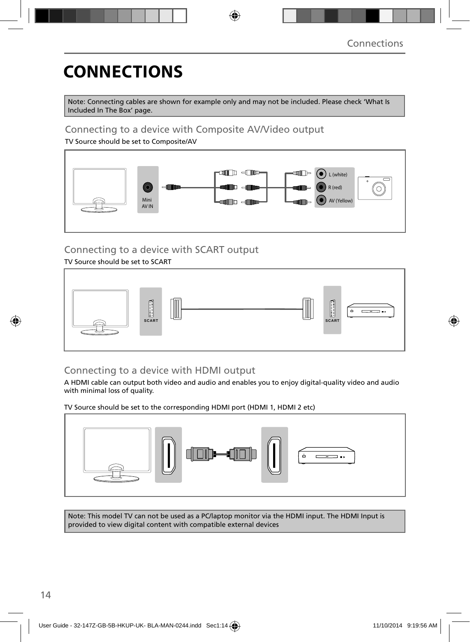# **CONNECTIONS**

Note: Connecting cables are shown for example only and may not be included. Please check 'What Is Included In The Box' page.

### Connecting to a device with Composite AV/Video output

TV Source should be set to Composite/AV



## Connecting to a device with SCART output

#### TV Source should be set to SCART



### Connecting to a device with HDMI output

A HDMI cable can output both video and audio and enables you to enjoy digital-quality video and audio with minimal loss of quality.

TV Source should be set to the corresponding HDMI port (HDMI 1, HDMI 2 etc)



Note: This model TV can not be used as a PC/laptop monitor via the HDMI input. The HDMI Input is provided to view digital content with compatible external devices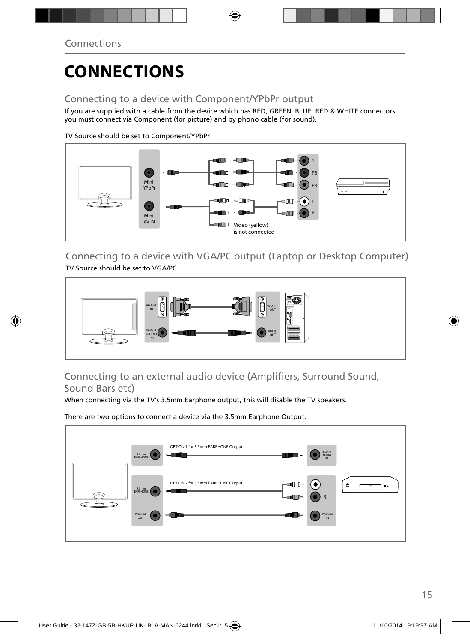# **CONNECTIONS**

### Connecting to a device with Component/YPbPr output

If you are supplied with a cable from the device which has RED, GREEN, BLUE, RED & WHITE connectors you must connect via Component (for picture) and by phono cable (for sound).

TV Source should be set to Component/YPbPr



Connecting to a device with VGA/PC output (Laptop or Desktop Computer) TV Source should be set to VGA/PC



### Connecting to an external audio device (Amplifiers, Surround Sound, Sound Bars etc)

When connecting via the TV's 3.5mm Earphone output, this will disable the TV speakers.

There are two options to connect a device via the 3.5mm Earphone Output.

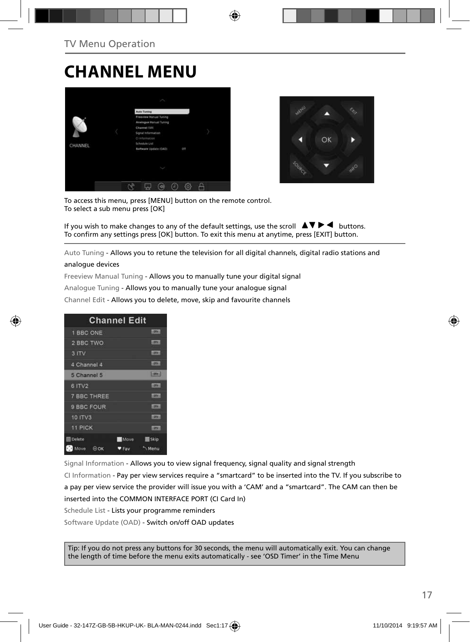## **CHANNEL MENU**





To access this menu, press [MENU] button on the remote control. To select a sub menu press [OK]

If you wish to make changes to any of the default settings, use the scroll  $\blacktriangle \blacktriangledown \blacktriangleright \blacktriangleleft$  buttons. To confirm any settings press [OK] button. To exit this menu at anytime, press [EXIT] button.

Auto Tuning - Allows you to retune the television for all digital channels, digital radio stations and

#### analogue devices

Freeview Manual Tuning - Allows you to manually tune your digital signal

Analogue Tuning - Allows you to manually tune your analogue signal

Channel Edit - Allows you to delete, move, skip and favourite channels

|                    | <b>Channel Edit</b> |
|--------------------|---------------------|
| 1 BBC ONE          | <b>LIBRARY</b>      |
| 2 BBC TWO          | cone:               |
| 3 ITV              | <b>LOTAL</b>        |
| 4 Channel 4        | <b>LOTAL</b>        |
| 5 Channel 5        | $[$ pre $]$         |
| 6 ITV2             | 1,0041              |
| <b>7 BBC THREE</b> | Licensin            |
| 9 BBC FOUR         | <b>TIV</b>          |
| 10 ITV3            | <b>COTHER</b>       |
| <b>11 PICK</b>     | <b>COTH</b>         |
| <b>Delete</b>      | Skip<br><b>Move</b> |
| Move<br>00K        | Menu<br><b>AFav</b> |

Signal Information - Allows you to view signal frequency, signal quality and signal strength CI Information - Pay per view services require a "smartcard" to be inserted into the TV. If you subscribe to a pay per view service the provider will issue you with a 'CAM' and a "smartcard". The CAM can then be inserted into the COMMON INTERFACE PORT (CI Card In) Schedule List - Lists your programme reminders

Software Update (OAD) - Switch on/off OAD updates

Tip: If you do not press any buttons for 30 seconds, the menu will automatically exit. You can change the length of time before the menu exits automatically - see 'OSD Timer' in the Time Menu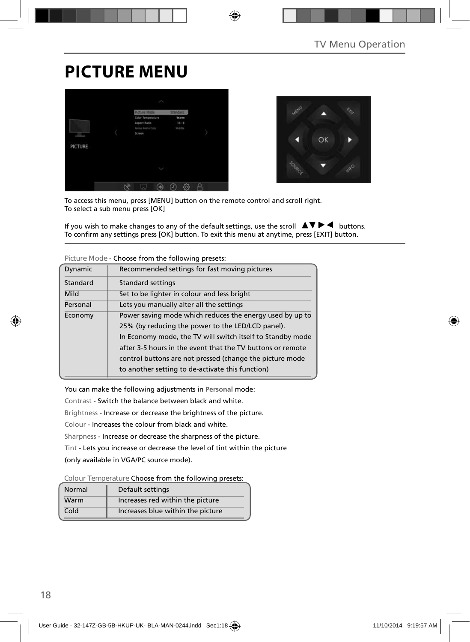# **PICTURE MENU**





To access this menu, press [MENU] button on the remote control and scroll right. To select a sub menu press [OK]

If you wish to make changes to any of the default settings, use the scroll  $\Box \blacktriangledown \blacktriangleright \blacktriangleleft$  buttons. To confirm any settings press [OK] button. To exit this menu at anytime, press [EXIT] button.

| Dynamic                                                             | Recommended settings for fast moving pictures              |
|---------------------------------------------------------------------|------------------------------------------------------------|
| Standard                                                            | Standard settings                                          |
| Mild                                                                | Set to be lighter in colour and less bright                |
| Personal                                                            | Lets you manually alter all the settings                   |
| Power saving mode which reduces the energy used by up to<br>Economy |                                                            |
|                                                                     | 25% (by reducing the power to the LED/LCD panel).          |
|                                                                     | In Economy mode, the TV will switch itself to Standby mode |
|                                                                     | after 3-5 hours in the event that the TV buttons or remote |
|                                                                     | control buttons are not pressed (change the picture mode   |
|                                                                     | to another setting to de-activate this function)           |

**Picture Mode** - Choose from the following presets:

You can make the following adjustments in **Personal** mode:

Contrast - Switch the balance between black and white.

Brightness - Increase or decrease the brightness of the picture.

Colour - Increases the colour from black and white.

Sharpness - Increase or decrease the sharpness of the picture.

Tint - Lets you increase or decrease the level of tint within the picture

(only available in VGA/PC source mode).

**Colour Temperature** Choose from the following presets:

| Normal | Default settings                  |
|--------|-----------------------------------|
| Warm   | Increases red within the picture  |
| Cold   | Increases blue within the picture |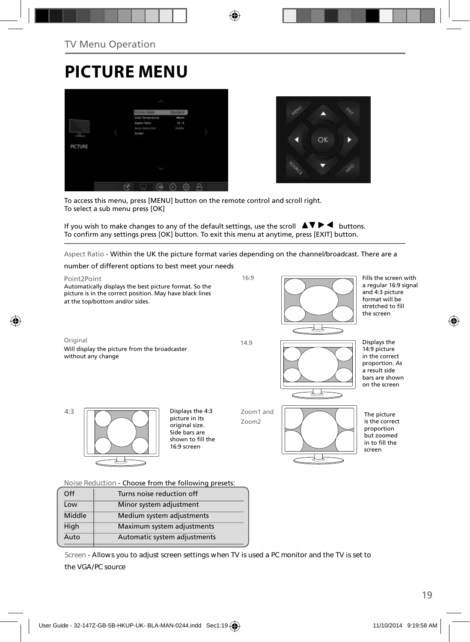## **PICTURE MENU**





To access this menu, press [MENU] button on the remote control and scroll right. To select a sub menu press [OK]

If you wish to make changes to any of the default settings, use the scroll  $\blacktriangle \blacktriangledown \blacktriangleright \blacktriangleleft$  buttons. To confirm any settings press [OK] button. To exit this menu at anytime, press [EXIT] button.

Aspect Ratio - Within the UK the picture format varies depending on the channel/broadcast. There are a

number of different options to best meet your needs



| Off    | Turns noise reduction off    |
|--------|------------------------------|
| Low    | Minor system adjustment      |
| Middle | Medium system adjustments    |
| High   | Maximum system adjustments   |
| Auto   | Automatic system adjustments |
|        |                              |

**Screen - Allows you to adjust screen settings when TV is used a PC monitor and the TV is set to the VGA/PC source**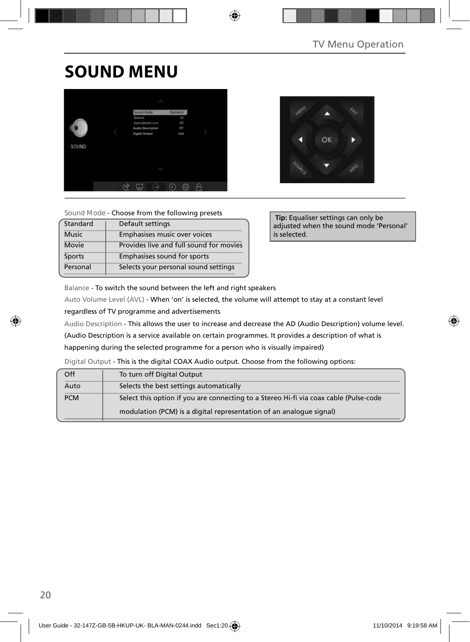# **SOUND MENU**





**Sound Mode** - Choose from the following presets

| Standard      | Default settings                        |
|---------------|-----------------------------------------|
| <b>Music</b>  | Emphasises music over voices            |
| Movie         | Provides live and full sound for movies |
| <b>Sports</b> | Emphasises sound for sports             |
| Personal      | Selects your personal sound settings    |

 **Tip:** Equaliser settings can only be adjusted when the sound mode 'Personal' is selected.

Balance - To switch the sound between the left and right speakers

Auto Volume Level (AVL) - When 'on' is selected, the volume will attempt to stay at a constant level regardless of TV programme and advertisements

Audio Description - This allows the user to increase and decrease the AD (Audio Description) volume level.

(Audio Description is a service available on certain programmes. It provides a description of what is

happening during the selected programme for a person who is visually impaired)

Digital Output - This is the digital COAX Audio output. Choose from the following options:

| Off        | To turn off Digital Output                                                            |  |  |
|------------|---------------------------------------------------------------------------------------|--|--|
| Auto       | Selects the best settings automatically                                               |  |  |
| <b>PCM</b> | Select this option if you are connecting to a Stereo Hi-fi via coax cable (Pulse-code |  |  |
|            | modulation (PCM) is a digital representation of an analogue signal)                   |  |  |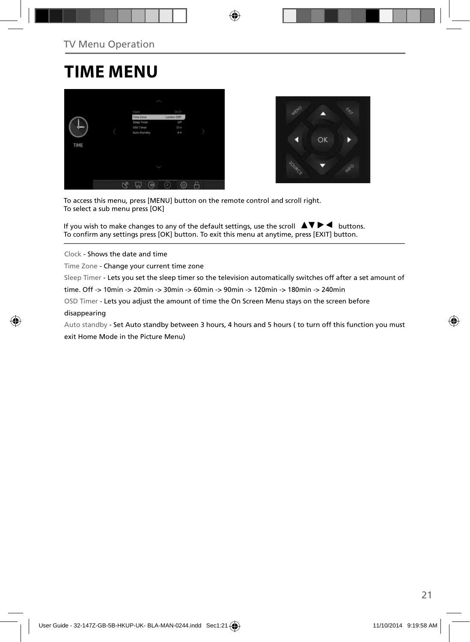## **TIME MENU**





To access this menu, press [MENU] button on the remote control and scroll right. To select a sub menu press [OK]

If you wish to make changes to any of the default settings, use the scroll  $\Box \blacktriangledown \blacktriangleright \blacktriangleleft$  buttons. To confirm any settings press [OK] button. To exit this menu at anytime, press [EXIT] button.

Clock - Shows the date and time

Time Zone - Change your current time zone

Sleep Timer - Lets you set the sleep timer so the television automatically switches off after a set amount of

time. Off -> 10min -> 20min -> 30min -> 60min -> 90min -> 120min -> 180min -> 240min

OSD Timer - Lets you adjust the amount of time the On Screen Menu stays on the screen before

disappearing

Auto standby - Set Auto standby between 3 hours, 4 hours and 5 hours ( to turn off this function you must exit Home Mode in the Picture Menu)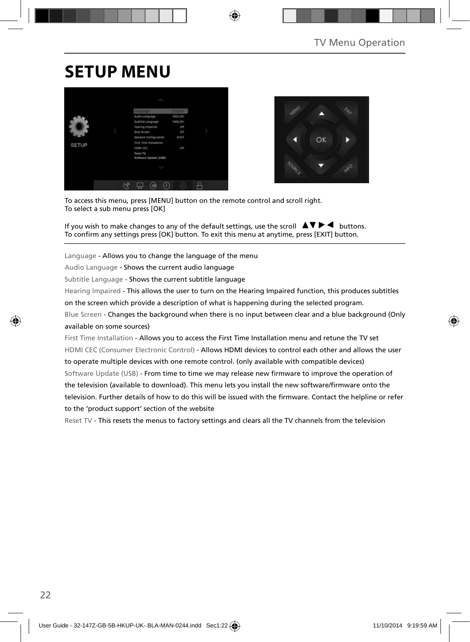# **SETUP MENU**





To access this menu, press [MENU] button on the remote control and scroll right. To select a sub menu press [OK]

If you wish to make changes to any of the default settings, use the scroll  $\blacktriangle \blacktriangledown \blacktriangleright \blacktriangleleft$  buttons. To confirm any settings press [OK] button. To exit this menu at anytime, press [EXIT] button.

Language - Allows you to change the language of the menu

Audio Language - Shows the current audio language

Subtitle Language - Shows the current subtitle language

Hearing Impaired - This allows the user to turn on the Hearing Impaired function, this produces subtitles

on the screen which provide a description of what is happening during the selected program.

Blue Screen - Changes the background when there is no input between clear and a blue background (Only available on some sources)

First Time Installation - Allows you to access the First Time Installation menu and retune the TV set HDMI CEC (Consumer Electronic Control) - Allows HDMI devices to control each other and allows the user to operate multiple devices with one remote control. (only available with compatible devices) Software Update (USB) - From time to time we may release new firmware to improve the operation of the television (available to download). This menu lets you install the new software/firmware onto the television. Further details of how to do this will be issued with the firmware. Contact the helpline or refer to the 'product support' section of the website

Reset TV - This resets the menus to factory settings and clears all the TV channels from the television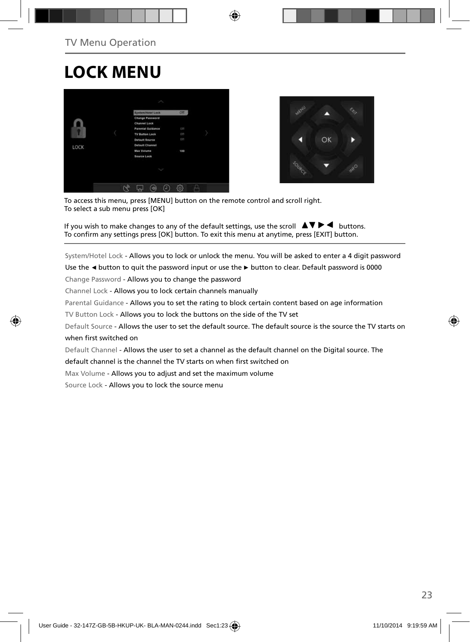# **LOCK MENU**





To access this menu, press [MENU] button on the remote control and scroll right. To select a sub menu press [OK]

If you wish to make changes to any of the default settings, use the scroll  $\blacktriangle \blacktriangledown \blacktriangleright \blacktriangleleft$  buttons. To confirm any settings press [OK] button. To exit this menu at anytime, press [EXIT] button.

System/Hotel Lock - Allows you to lock or unlock the menu. You will be asked to enter a 4 digit password

Use the **◄** button to quit the password input or use the **►** button to clear. Default password is 0000

Change Password - Allows you to change the password

Channel Lock - Allows you to lock certain channels manually

Parental Guidance - Allows you to set the rating to block certain content based on age information

TV Button Lock - Allows you to lock the buttons on the side of the TV set

Default Source - Allows the user to set the default source. The default source is the source the TV starts on when first switched on

Default Channel - Allows the user to set a channel as the default channel on the Digital source. The

default channel is the channel the TV starts on when first switched on

Max Volume - Allows you to adjust and set the maximum volume

Source Lock - Allows you to lock the source menu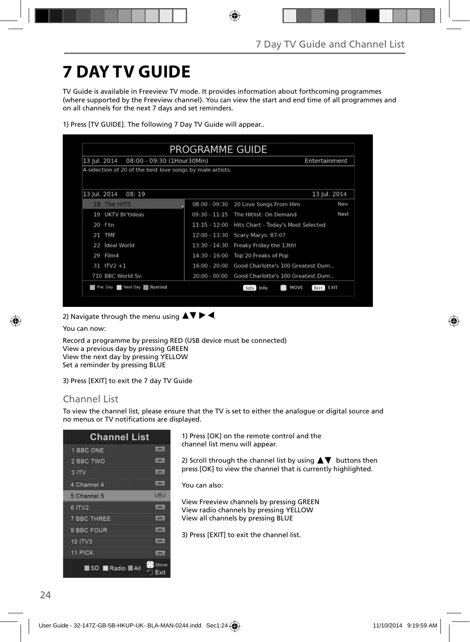# **7 DAY TV GUIDE**

TV Guide is available in Freeview TV mode. It provides information about forthcoming programmes (where supported by the Freeview channel). You can view the start and end time of all programmes and on all channels for the next 7 days and set reminders.

| 13 Jul. 2014<br>08:00 - 09:30 (1Hour30Min)                |                 | Entertainment                      |              |
|-----------------------------------------------------------|-----------------|------------------------------------|--------------|
| A selection of 20 of the best love songs by male artists. |                 |                                    |              |
| 13 Jul. 2014<br>08:19                                     |                 |                                    | 13 Jul. 2014 |
| 18 The HITS                                               | $08:00 - 09:30$ | 20 Love Songs From Him             | Now          |
| UKTV Britideas<br>19                                      | $09:30 - 11:15$ | The Hitlist: On Demand             | Next         |
| 20 ftn                                                    | $11:15 - 12:00$ | Hits Chart - Today's Most Selected |              |
| 21 TMF                                                    | $12:00 - 13:30$ | Scary Marys: 87-07                 |              |
| Ideal World<br>22                                         | $13:30 - 14:30$ | Freaky Friday the 13th!            |              |
| Film4<br>29                                               | $14:30 - 16:00$ | Top 20 Freaks of Pop               |              |
| $31$ ITV2 +1                                              | $16:00 - 20:00$ | Good Charlotte's 100 Greatest Dum  |              |
| 710 BBC World Sv.                                         | $20:00 - 00:00$ | Good Charlotte's 100 Greatest Dum  |              |

1) Press [TV GUIDE]. The following 7 Day TV Guide will appear..

2) Navigate through the menu using  $\blacktriangle \blacktriangledown \blacktriangleright \blacktriangleleft$ .

You can now:

Record a programme by pressing RED (USB device must be connected) View a previous day by pressing GREEN View the next day by pressing YELLOW Set a reminder by pressing BLUE

3) Press [EXIT] to exit the 7 day TV Guide

#### Channel List

To view the channel list, please ensure that the TV is set to either the analogue or digital source and no menus or TV notifications are displayed.

|                    | <b>Channel List</b>  |                   |
|--------------------|----------------------|-------------------|
| 1 BBC ONE          |                      | <b>LODGE</b>      |
| 2 BBC TWO          |                      | <b>LOTS</b>       |
| 3 ITV              |                      | <b>LOTH:</b>      |
| 4 Channel 4        |                      | $-107$ M $+$      |
| 5 Channel 5        |                      | <b>Ligna</b>      |
| 6 ITV2             |                      | <b>ETV</b>        |
| <b>7 BBC THREE</b> |                      | m                 |
| 9 BBC FOUR         |                      | ᇒ                 |
| 10 ITV3            |                      | m                 |
| 11 PICK            |                      | <b>COMPANY</b>    |
|                    | SD Radio <b>MAII</b> | ∾<br>Move<br>Exit |

1) Press [OK] on the remote control and the channel list menu will appear.

2) Scroll through the channel list by using  $\blacktriangle\blacktriangledown$  buttons then press [OK] to view the channel that is currently highlighted.

You can also:

View Freeview channels by pressing GREEN View radio channels by pressing YELLOW View all channels by pressing BLUE

3) Press [EXIT] to exit the channel list.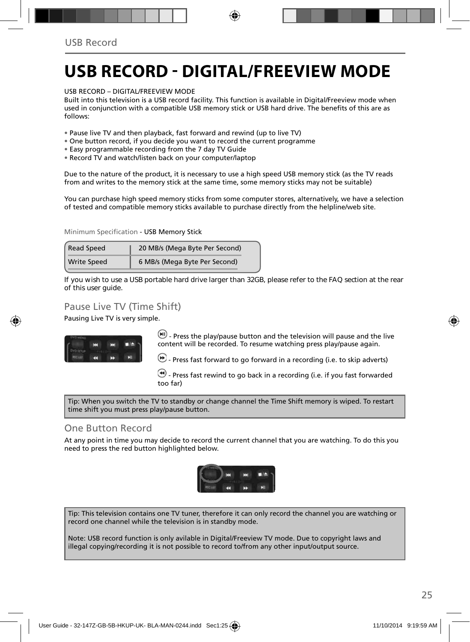## **USB RECORD - DIGITAL/FREEVIEW MODE**

USB RECORD – DIGITAL/FREEVIEW MODE

Built into this television is a USB record facility. This function is available in Digital/Freeview mode when used in conjunction with a compatible USB memory stick or USB hard drive. The benefits of this are as follows:

- Pause live TV and then playback, fast forward and rewind (up to live TV)
- One button record, if you decide you want to record the current programme
- Easy programmable recording from the 7 day TV Guide
- Record TV and watch/listen back on your computer/laptop

Due to the nature of the product, it is necessary to use a high speed USB memory stick (as the TV reads from and writes to the memory stick at the same time, some memory sticks may not be suitable)

You can purchase high speed memory sticks from some computer stores, alternatively, we have a selection of tested and compatible memory sticks available to purchase directly from the helpline/web site.

Minimum Specification - USB Memory Stick

| Read Speed         | 20 MB/s (Mega Byte Per Second) |  |
|--------------------|--------------------------------|--|
| <b>Write Speed</b> | 6 MB/s (Mega Byte Per Second)  |  |

**If you wish to use a USB portable hard drive larger than 32GB, please refer to the FAQ section at the rear of this user guide.**

### Pause Live TV (Time Shift)

Pausing Live TV is very simple.



 $\left(\mathbf{H}\right)$  - Press the play/pause button and the television will pause and the live content will be recorded. To resume watching press play/pause again.

 $\bigcirc$  - Press fast forward to go forward in a recording (i.e. to skip adverts)

 $\bigcirc$  - Press fast rewind to go back in a recording (i.e. if you fast forwarded too far)

Tip: When you switch the TV to standby or change channel the Time Shift memory is wiped. To restart time shift you must press play/pause button.

#### One Button Record

At any point in time you may decide to record the current channel that you are watching. To do this you need to press the red button highlighted below.



Tip: This television contains one TV tuner, therefore it can only record the channel you are watching or record one channel while the television is in standby mode.

Note: USB record function is only avilable in Digital/Freeview TV mode. Due to copyright laws and illegal copying/recording it is not possible to record to/from any other input/output source.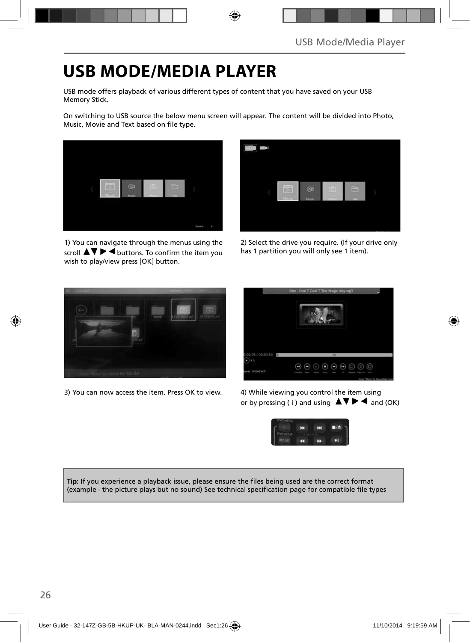# **USB MODE/MEDIA PLAYER**

USB mode offers playback of various different types of content that you have saved on your USB Memory Stick.

On switching to USB source the below menu screen will appear. The content will be divided into Photo, Music, Movie and Text based on file type.



1) You can navigate through the menus using the scroll  $\triangle \triangledown \triangleright \blacktriangleleft$  buttons. To confirm the item you wish to play/view press [OK] button.



2) Select the drive you require. (If your drive only has 1 partition you will only see 1 item).



3) You can now access the item. Press OK to view. 4) While viewing you control the item using



or by pressing (i) and using  $\Delta \nabla \blacktriangleright$   $\blacktriangle$  and (OK)



**Tip:** If you experience a playback issue, please ensure the files being used are the correct format (example - the picture plays but no sound) See technical specification page for compatible file types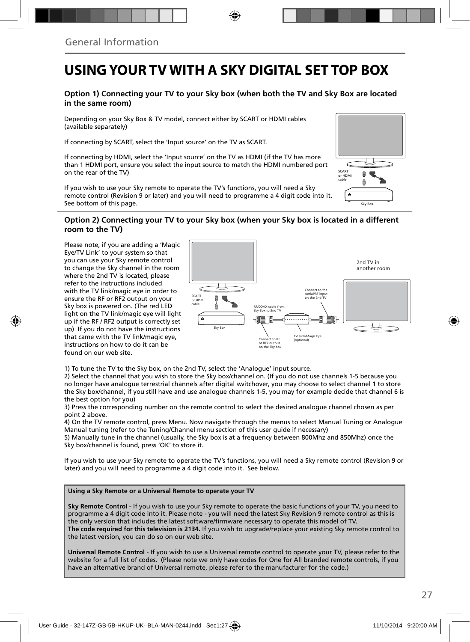## **USING YOUR TV WITH A SKY DIGITAL SET TOP BOX**

#### **Option 1) Connecting your TV to your Sky box (when both the TV and Sky Box are located in the same room)**

Depending on your Sky Box & TV model, connect either by SCART or HDMI cables (available separately)

If connecting by SCART, select the 'Input source' on the TV as SCART.

If connecting by HDMI, select the 'Input source' on the TV as HDMI (if the TV has more than 1 HDMI port, ensure you select the input source to match the HDMI numbered port on the rear of the TV)

If you wish to use your Sky remote to operate the TV's functions, you will need a Sky remote control (Revision 9 or later) and you will need to programme a 4 digit code into it. See bottom of this page.

# Sky Box SCART or HDMI cable

#### **Option 2) Connecting your TV to your Sky box (when your Sky box is located in a different room to the TV)**

Please note, if you are adding a 'Magic Eye/TV Link' to your system so that you can use your Sky remote control to change the Sky channel in the room where the 2nd TV is located, please refer to the instructions included with the TV link/magic eye in order to ensure the RF or RF2 output on your Sky box is powered on. (The red LED light on the TV link/magic eye will light up if the RF / RF2 output is correctly set up) If you do not have the instructions that came with the TV link/magic eye, instructions on how to do it can be found on our web site.



1) To tune the TV to the Sky box, on the 2nd TV, select the 'Analogue' input source.

2) Select the channel that you wish to store the Sky box/channel on. (If you do not use channels 1-5 because you no longer have analogue terrestrial channels after digital switchover, you may choose to select channel 1 to store the Sky box/channel, if you still have and use analogue channels 1-5, you may for example decide that channel 6 is the best option for you)

3) Press the corresponding number on the remote control to select the desired analogue channel chosen as per point 2 above.

4) On the TV remote control, press Menu. Now navigate through the menus to select Manual Tuning or Analogue Manual tuning (refer to the Tuning/Channel menu section of this user guide if necessary)

5) Manually tune in the channel (usually, the Sky box is at a frequency between 800Mhz and 850Mhz) once the Sky box/channel is found, press 'OK' to store it.

If you wish to use your Sky remote to operate the TV's functions, you will need a Sky remote control (Revision 9 or later) and you will need to programme a 4 digit code into it. See below.

#### **Using a Sky Remote or a Universal Remote to operate your TV**

**Sky Remote Control** - If you wish to use your Sky remote to operate the basic functions of your TV, you need to programme a 4 digit code into it. Please note - you will need the latest Sky Revision 9 remote control as this is the only version that includes the latest software/firmware necessary to operate this model of TV. **The code required for this television is 2134.** If you wish to upgrade/replace your existing Sky remote control to the latest version, you can do so on our web site.

**Universal Remote Control** - If you wish to use a Universal remote control to operate your TV, please refer to the website for a full list of codes. (Please note we only have codes for One for All branded remote controls, if you have an alternative brand of Universal remote, please refer to the manufacturer for the code.)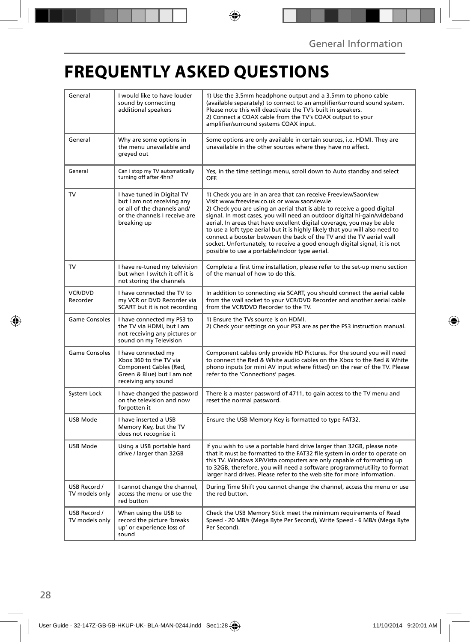# **FREQUENTLY ASKED QUESTIONS**

| General                        | I would like to have louder<br>sound by connecting<br>additional speakers                                                               | 1) Use the 3.5mm headphone output and a 3.5mm to phono cable<br>(available separately) to connect to an amplifier/surround sound system.<br>Please note this will deactivate the TV's built in speakers.<br>2) Connect a COAX cable from the TV's COAX output to your<br>amplifier/surround systems COAX input.                                                                                                                                                                                                                                                                                                                      |
|--------------------------------|-----------------------------------------------------------------------------------------------------------------------------------------|--------------------------------------------------------------------------------------------------------------------------------------------------------------------------------------------------------------------------------------------------------------------------------------------------------------------------------------------------------------------------------------------------------------------------------------------------------------------------------------------------------------------------------------------------------------------------------------------------------------------------------------|
| General                        | Why are some options in<br>the menu unavailable and<br>greyed out                                                                       | Some options are only available in certain sources, i.e. HDMI. They are<br>unavailable in the other sources where they have no affect.                                                                                                                                                                                                                                                                                                                                                                                                                                                                                               |
| General                        | Can I stop my TV automatically<br>turning off after 4hrs?                                                                               | Yes, in the time settings menu, scroll down to Auto standby and select<br>OFF.                                                                                                                                                                                                                                                                                                                                                                                                                                                                                                                                                       |
| TV                             | I have tuned in Digital TV<br>but I am not receiving any<br>or all of the channels and/<br>or the channels I receive are<br>breaking up | 1) Check you are in an area that can receive Freeview/Saorview<br>Visit www.freeview.co.uk or www.saorview.ie<br>2) Check you are using an aerial that is able to receive a good digital<br>signal. In most cases, you will need an outdoor digital hi-gain/wideband<br>aerial. In areas that have excellent digital coverage, you may be able<br>to use a loft type aerial but it is highly likely that you will also need to<br>connect a booster between the back of the TV and the TV aerial wall<br>socket. Unfortunately, to receive a good enough digital signal, it is not<br>possible to use a portable/indoor type aerial. |
| <b>TV</b>                      | I have re-tuned my television<br>but when I switch it off it is<br>not storing the channels                                             | Complete a first time installation, please refer to the set-up menu section<br>of the manual of how to do this.                                                                                                                                                                                                                                                                                                                                                                                                                                                                                                                      |
| <b>VCR/DVD</b><br>Recorder     | I have connected the TV to<br>my VCR or DVD Recorder via<br>SCART but it is not recording                                               | In addition to connecting via SCART, you should connect the aerial cable<br>from the wall socket to your VCR/DVD Recorder and another aerial cable<br>from the VCR/DVD Recorder to the TV.                                                                                                                                                                                                                                                                                                                                                                                                                                           |
| <b>Game Consoles</b>           | I have connected my PS3 to<br>the TV via HDMI, but I am<br>not receiving any pictures or<br>sound on my Television                      | 1) Ensure the TVs source is on HDMI.<br>2) Check your settings on your PS3 are as per the PS3 instruction manual.                                                                                                                                                                                                                                                                                                                                                                                                                                                                                                                    |
| <b>Game Consoles</b>           | I have connected my<br>Xbox 360 to the TV via<br>Component Cables (Red,<br>Green & Blue) but I am not<br>receiving any sound            | Component cables only provide HD Pictures. For the sound you will need<br>to connect the Red & White audio cables on the Xbox to the Red & White<br>phono inputs (or mini AV input where fitted) on the rear of the TV. Please<br>refer to the 'Connections' pages.                                                                                                                                                                                                                                                                                                                                                                  |
| System Lock                    | I have changed the password<br>on the television and now<br>forgotten it                                                                | There is a master password of 4711, to gain access to the TV menu and<br>reset the normal password.                                                                                                                                                                                                                                                                                                                                                                                                                                                                                                                                  |
| <b>USB Mode</b>                | I have inserted a USB<br>Memory Key, but the TV<br>does not recognise it                                                                | Ensure the USB Memory Key is formatted to type FAT32.                                                                                                                                                                                                                                                                                                                                                                                                                                                                                                                                                                                |
| USB Mode                       | Using a USB portable hard<br>drive / larger than 32GB                                                                                   | If you wish to use a portable hard drive larger than 32GB, please note<br>that it must be formatted to the FAT32 file system in order to operate on<br>this TV. Windows XP/Vista computers are only capable of formatting up<br>to 32GB, therefore, you will need a software programme/utility to format<br>larger hard drives. Please refer to the web site for more information.                                                                                                                                                                                                                                                   |
| USB Record /<br>TV models only | I cannot change the channel,<br>access the menu or use the<br>red button                                                                | During Time Shift you cannot change the channel, access the menu or use<br>the red button.                                                                                                                                                                                                                                                                                                                                                                                                                                                                                                                                           |
| USB Record /<br>TV models only | When using the USB to<br>record the picture 'breaks<br>up' or experience loss of<br>sound                                               | Check the USB Memory Stick meet the minimum requirements of Read<br>Speed - 20 MB/s (Mega Byte Per Second), Write Speed - 6 MB/s (Mega Byte<br>Per Second).                                                                                                                                                                                                                                                                                                                                                                                                                                                                          |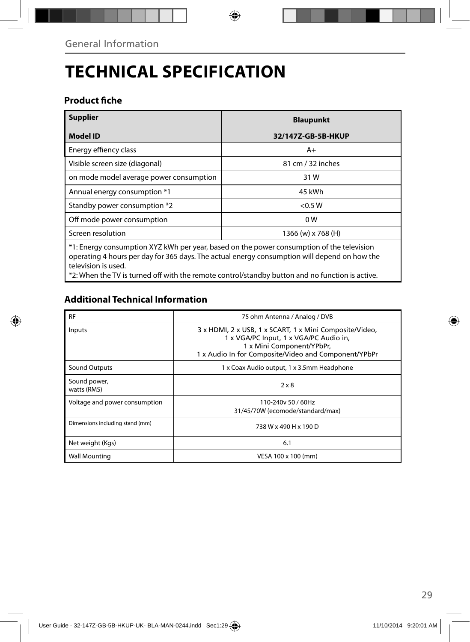# **TECHNICAL SPECIFICATION**

### **Product fiche**

| <b>Supplier</b>                                                                                                                                                                                                  | <b>Blaupunkt</b>   |  |
|------------------------------------------------------------------------------------------------------------------------------------------------------------------------------------------------------------------|--------------------|--|
| <b>Model ID</b>                                                                                                                                                                                                  | 32/147Z-GB-5B-HKUP |  |
| Energy effiency class                                                                                                                                                                                            | $A+$               |  |
| Visible screen size (diagonal)                                                                                                                                                                                   | 81 cm / 32 inches  |  |
| on mode model average power consumption                                                                                                                                                                          | 31 W               |  |
| Annual energy consumption *1                                                                                                                                                                                     | 45 kWh             |  |
| Standby power consumption *2                                                                                                                                                                                     | $<$ 0.5 W          |  |
| Off mode power consumption                                                                                                                                                                                       | 0 <sub>W</sub>     |  |
| Screen resolution                                                                                                                                                                                                | 1366 (w) x 768 (H) |  |
| *1: Energy consumption XYZ kWh per year, based on the power consumption of the television<br>operating 4 hours per day for 365 days. The actual energy consumption will depend on how the<br>television is used. |                    |  |

\*2: When the TV is turned off with the remote control/standby button and no function is active.

## **Additional Technical Information**

| <b>RF</b>                       | 75 ohm Antenna / Analog / DVB                                                                                                                                                          |  |
|---------------------------------|----------------------------------------------------------------------------------------------------------------------------------------------------------------------------------------|--|
| Inputs                          | 3 x HDMI, 2 x USB, 1 x SCART, 1 x Mini Composite/Video,<br>1 x VGA/PC Input, 1 x VGA/PC Audio in,<br>1 x Mini Component/YPbPr,<br>1 x Audio In for Composite/Video and Component/YPbPr |  |
| <b>Sound Outputs</b>            | 1 x Coax Audio output, 1 x 3.5mm Headphone                                                                                                                                             |  |
| Sound power,<br>watts (RMS)     | $2 \times 8$                                                                                                                                                                           |  |
| Voltage and power consumption   | 110-240y 50 / 60Hz<br>31/45/70W (ecomode/standard/max)                                                                                                                                 |  |
| Dimensions including stand (mm) | 738 W x 490 H x 190 D                                                                                                                                                                  |  |
| Net weight (Kgs)                | 6.1                                                                                                                                                                                    |  |
| <b>Wall Mounting</b>            | VESA 100 x 100 (mm)                                                                                                                                                                    |  |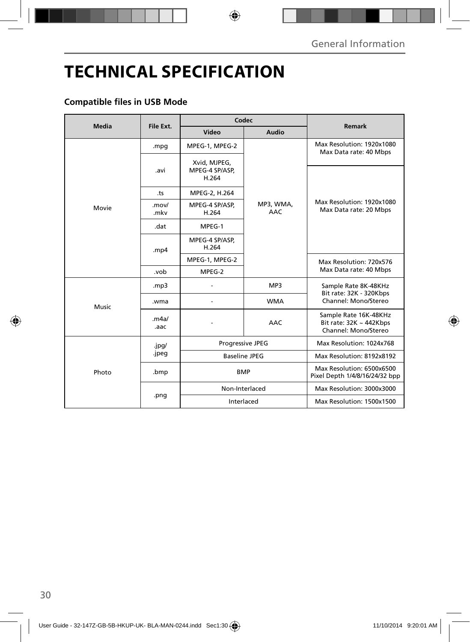# **TECHNICAL SPECIFICATION**

### **Compatible files in USB Mode**

| Media | File Ext.     | Codec                                   |                         | <b>Remark</b>                                                                 |
|-------|---------------|-----------------------------------------|-------------------------|-------------------------------------------------------------------------------|
|       |               | Video                                   | Audio                   |                                                                               |
| Movie | .mpg          | MPEG-1, MPEG-2                          | MP3, WMA,<br><b>AAC</b> | Max Resolution: 1920x1080<br>Max Data rate: 40 Mbps                           |
|       | .avi          | Xvid, MJPEG,<br>MPEG-4 SP/ASP,<br>H.264 |                         | Max Resolution: 1920x1080<br>Max Data rate: 20 Mbps                           |
|       | .ts           | MPEG-2, H.264                           |                         |                                                                               |
|       | .mov/<br>.mkv | MPEG-4 SP/ASP,<br>H.264                 |                         |                                                                               |
|       | .dat          | MPEG-1                                  |                         |                                                                               |
|       | .mp4          | MPEG-4 SP/ASP,<br>H.264                 |                         |                                                                               |
|       |               | MPEG-1, MPEG-2                          |                         | Max Resolution: 720x576<br>Max Data rate: 40 Mbps                             |
|       | .vob          | MPEG-2                                  |                         |                                                                               |
| Music | mp3.          |                                         | MP3                     | Sample Rate 8K-48KHz<br>Bit rate: 32K - 320Kbps                               |
|       | .wma          |                                         | <b>WMA</b>              | Channel: Mono/Stereo                                                          |
|       | .m4a/<br>.aac |                                         | AAC                     | Sample Rate 16K-48KHz<br>Bit rate: $32K \sim 442Kbps$<br>Channel: Mono/Stereo |
| Photo | .jpg/         | Progressive JPEG                        |                         | Max Resolution: 1024x768                                                      |
|       | .jpeg         | <b>Baseline JPEG</b>                    |                         | Max Resolution: 8192x8192                                                     |
|       | .bmp          | <b>BMP</b>                              |                         | Max Resolution: 6500x6500<br>Pixel Depth 1/4/8/16/24/32 bpp                   |
|       | .png          | Non-Interlaced                          |                         | Max Resolution: 3000x3000                                                     |
|       |               | Interlaced                              |                         | Max Resolution: 1500x1500                                                     |